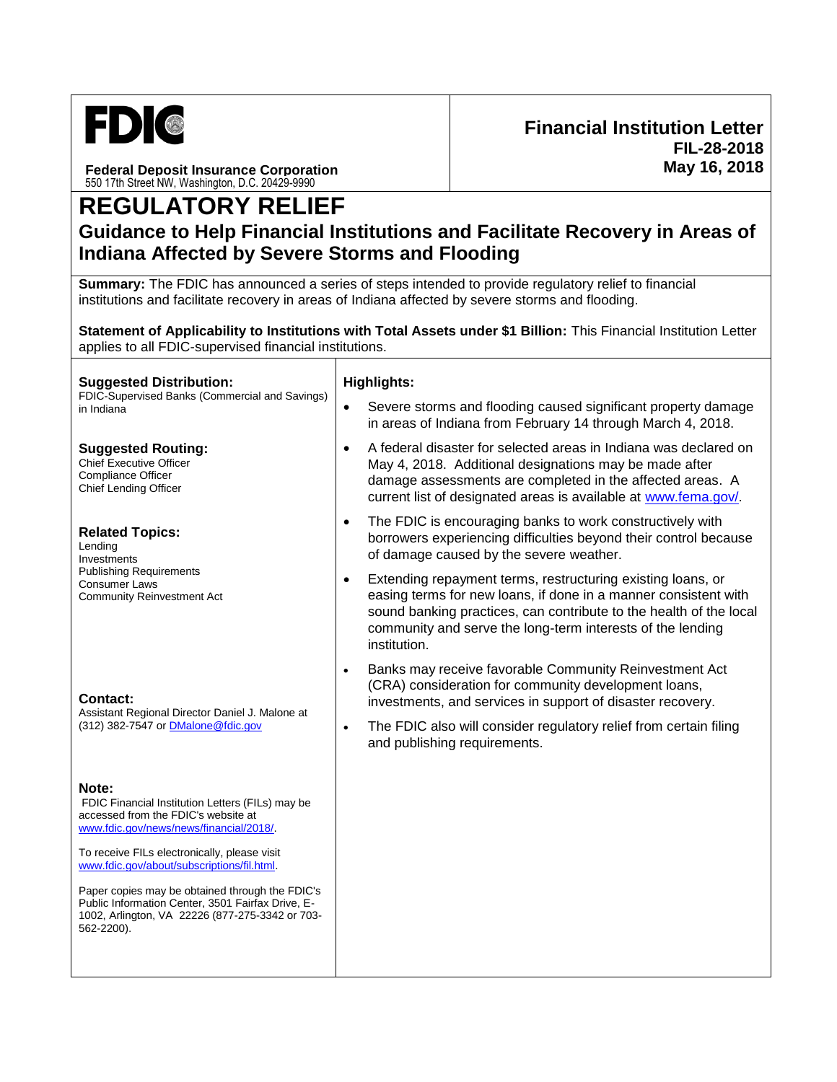

**Federal Deposit Insurance Corporation** 550 17th Street NW, Washington, D.C. 20429-9990

## **REGULATORY RELIEF**

## **Guidance to Help Financial Institutions and Facilitate Recovery in Areas of Indiana Affected by Severe Storms and Flooding**

**Summary:** The FDIC has announced a series of steps intended to provide regulatory relief to financial institutions and facilitate recovery in areas of Indiana affected by severe storms and flooding.

**Statement of Applicability to Institutions with Total Assets under \$1 Billion:** This Financial Institution Letter applies to all FDIC-supervised financial institutions.

| <b>Highlights:</b>                                                                                                                                                                                                                                                                              |  |
|-------------------------------------------------------------------------------------------------------------------------------------------------------------------------------------------------------------------------------------------------------------------------------------------------|--|
| Severe storms and flooding caused significant property damage<br>$\bullet$<br>in areas of Indiana from February 14 through March 4, 2018.                                                                                                                                                       |  |
| A federal disaster for selected areas in Indiana was declared on<br>$\bullet$<br>May 4, 2018. Additional designations may be made after<br>damage assessments are completed in the affected areas. A<br>current list of designated areas is available at www.fema.gov/.                         |  |
| The FDIC is encouraging banks to work constructively with<br>$\bullet$<br>borrowers experiencing difficulties beyond their control because<br>of damage caused by the severe weather.                                                                                                           |  |
| Extending repayment terms, restructuring existing loans, or<br>$\bullet$<br>easing terms for new loans, if done in a manner consistent with<br>sound banking practices, can contribute to the health of the local<br>community and serve the long-term interests of the lending<br>institution. |  |
| Banks may receive favorable Community Reinvestment Act<br>$\bullet$<br>(CRA) consideration for community development loans,<br>investments, and services in support of disaster recovery.                                                                                                       |  |
| The FDIC also will consider regulatory relief from certain filing<br>$\bullet$<br>and publishing requirements.                                                                                                                                                                                  |  |
|                                                                                                                                                                                                                                                                                                 |  |
|                                                                                                                                                                                                                                                                                                 |  |
|                                                                                                                                                                                                                                                                                                 |  |
|                                                                                                                                                                                                                                                                                                 |  |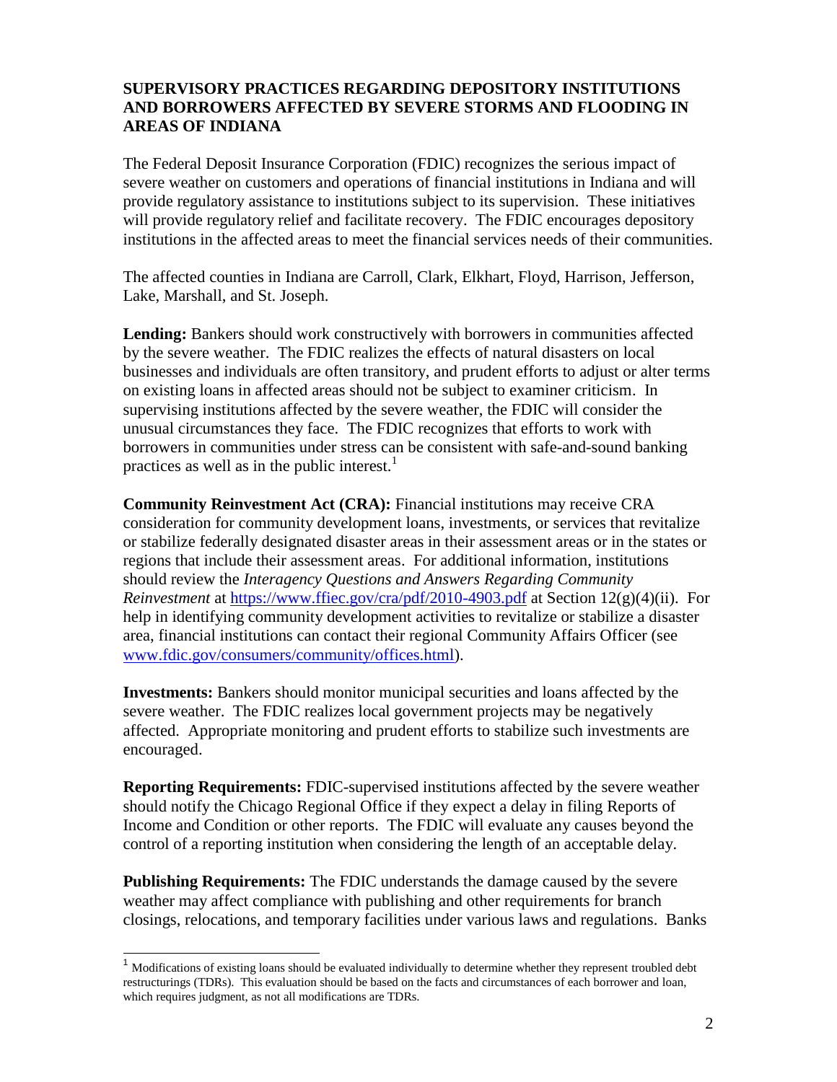## **SUPERVISORY PRACTICES REGARDING DEPOSITORY INSTITUTIONS AND BORROWERS AFFECTED BY SEVERE STORMS AND FLOODING IN AREAS OF INDIANA**

The Federal Deposit Insurance Corporation (FDIC) recognizes the serious impact of severe weather on customers and operations of financial institutions in Indiana and will provide regulatory assistance to institutions subject to its supervision. These initiatives will provide regulatory relief and facilitate recovery. The FDIC encourages depository institutions in the affected areas to meet the financial services needs of their communities.

The affected counties in Indiana are Carroll, Clark, Elkhart, Floyd, Harrison, Jefferson, Lake, Marshall, and St. Joseph.

**Lending:** Bankers should work constructively with borrowers in communities affected by the severe weather. The FDIC realizes the effects of natural disasters on local businesses and individuals are often transitory, and prudent efforts to adjust or alter terms on existing loans in affected areas should not be subject to examiner criticism. In supervising institutions affected by the severe weather, the FDIC will consider the unusual circumstances they face. The FDIC recognizes that efforts to work with borrowers in communities under stress can be consistent with safe-and-sound banking practices as well as in the public interest.<sup>1</sup>

**Community Reinvestment Act (CRA):** Financial institutions may receive CRA consideration for community development loans, investments, or services that revitalize or stabilize federally designated disaster areas in their assessment areas or in the states or regions that include their assessment areas. For additional information, institutions should review the *Interagency Questions and Answers Regarding Community Reinvestment* at<https://www.ffiec.gov/cra/pdf/2010-4903.pdf> at Section 12(g)(4)(ii). For help in identifying community development activities to revitalize or stabilize a disaster area, financial institutions can contact their regional Community Affairs Officer (see [www.fdic.gov/consumers/community/offices.html\)](https://www.fdic.gov/consumers/community/offices.html).

**Investments:** Bankers should monitor municipal securities and loans affected by the severe weather. The FDIC realizes local government projects may be negatively affected. Appropriate monitoring and prudent efforts to stabilize such investments are encouraged.

**Reporting Requirements:** FDIC-supervised institutions affected by the severe weather should notify the Chicago Regional Office if they expect a delay in filing Reports of Income and Condition or other reports. The FDIC will evaluate any causes beyond the control of a reporting institution when considering the length of an acceptable delay.

**Publishing Requirements:** The FDIC understands the damage caused by the severe weather may affect compliance with publishing and other requirements for branch closings, relocations, and temporary facilities under various laws and regulations. Banks

l

<sup>&</sup>lt;sup>1</sup> Modifications of existing loans should be evaluated individually to determine whether they represent troubled debt restructurings (TDRs). This evaluation should be based on the facts and circumstances of each borrower and loan, which requires judgment, as not all modifications are TDRs.